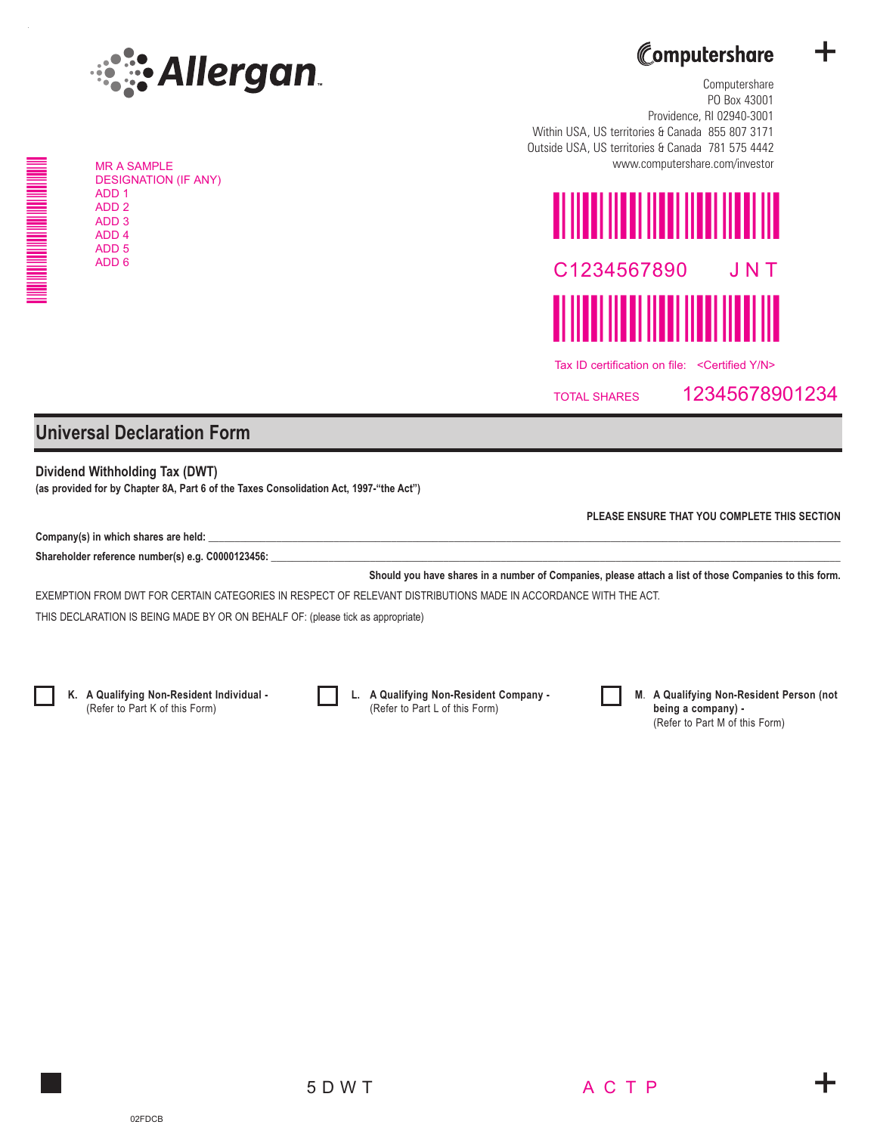

MR A SAMPLE DESIGNATION (IF ANY) ADD 1 ADD 2 ADD 3 ADD 4 ADD 5



+

Computershare PO Box 43001 Providence, RI 02940-3001 Within USA, US territories & Canada 855 807 3171 Outside USA, US territories & Canada 781 575 4442 www.computershare.com/investor



TOTAL SHARES 12345678901234

## **Universal Declaration Form**

**Dividend Withholding Tax (DWT) (as provided for by Chapter 8A, Part 6 of the Taxes Consolidation Act, 1997-"the Act")**

Company(s) in which shares are held:

Shareholder reference number(s) e.g. C0000123456:

**Should you have shares in a number of Companies, please attach a list of those Companies to this form.**

EXEMPTION FROM DWT FOR CERTAIN CATEGORIES IN RESPECT OF RELEVANT DISTRIBUTIONS MADE IN ACCORDANCE WITH THE ACT.

THIS DECLARATION IS BEING MADE BY OR ON BEHALF OF: (please tick as appropriate)



NNNNNNNNN

**K. A Qualifying Non-Resident Individual -** (Refer to Part K of this Form)



**L. A Qualifying Non-Resident Company -** (Refer to Part L of this Form)



**M**. **A Qualifying Non-Resident Person (not being a company) -** (Refer to Part M of this Form)

**PLEASE ENSURE THAT YOU COMPLETE THIS SECTION**

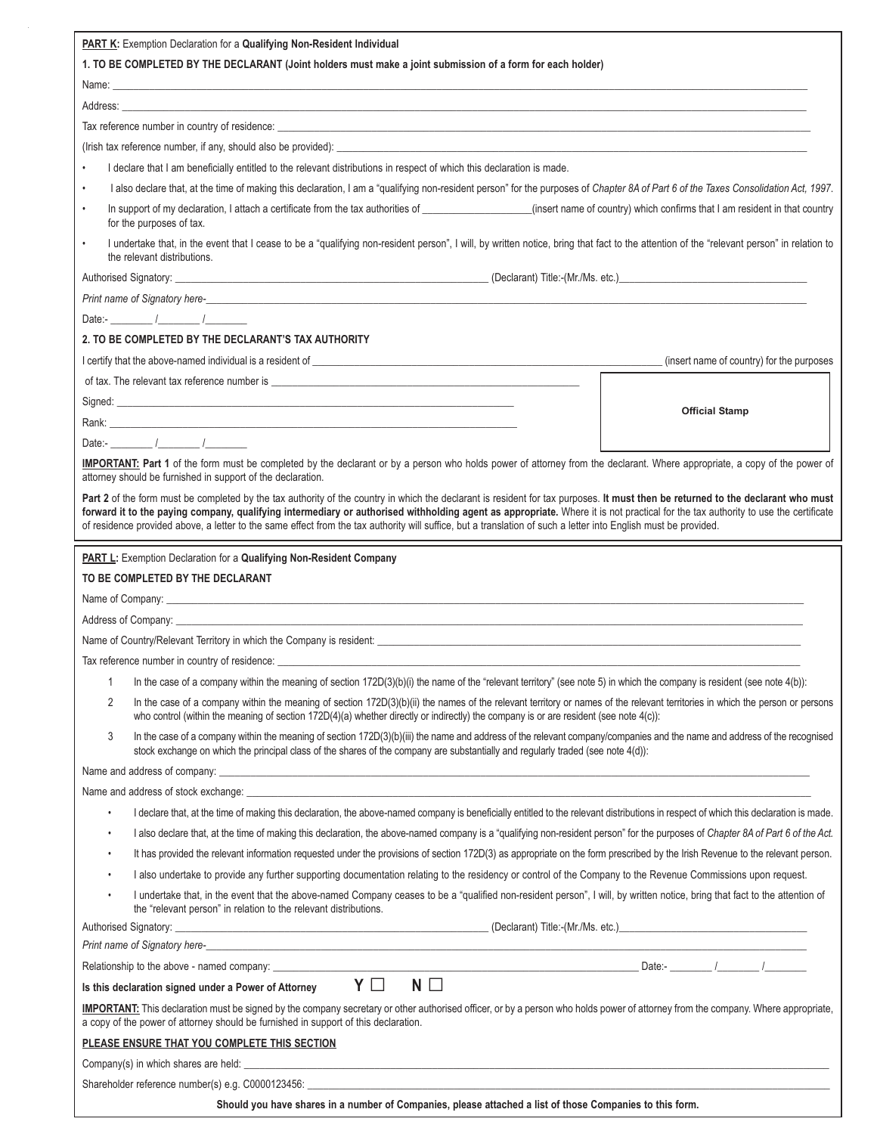| PART K: Exemption Declaration for a Qualifying Non-Resident Individual                                                                                                                                                                                                                                                                                                                                                                                                                                                                  |                                                                                                                                                                                                                                                                                                                           |                                           |  |  |
|-----------------------------------------------------------------------------------------------------------------------------------------------------------------------------------------------------------------------------------------------------------------------------------------------------------------------------------------------------------------------------------------------------------------------------------------------------------------------------------------------------------------------------------------|---------------------------------------------------------------------------------------------------------------------------------------------------------------------------------------------------------------------------------------------------------------------------------------------------------------------------|-------------------------------------------|--|--|
| 1. TO BE COMPLETED BY THE DECLARANT (Joint holders must make a joint submission of a form for each holder)                                                                                                                                                                                                                                                                                                                                                                                                                              |                                                                                                                                                                                                                                                                                                                           |                                           |  |  |
|                                                                                                                                                                                                                                                                                                                                                                                                                                                                                                                                         |                                                                                                                                                                                                                                                                                                                           |                                           |  |  |
|                                                                                                                                                                                                                                                                                                                                                                                                                                                                                                                                         |                                                                                                                                                                                                                                                                                                                           |                                           |  |  |
|                                                                                                                                                                                                                                                                                                                                                                                                                                                                                                                                         |                                                                                                                                                                                                                                                                                                                           |                                           |  |  |
|                                                                                                                                                                                                                                                                                                                                                                                                                                                                                                                                         |                                                                                                                                                                                                                                                                                                                           |                                           |  |  |
| $\bullet$                                                                                                                                                                                                                                                                                                                                                                                                                                                                                                                               | I declare that I am beneficially entitled to the relevant distributions in respect of which this declaration is made.                                                                                                                                                                                                     |                                           |  |  |
| $\bullet$                                                                                                                                                                                                                                                                                                                                                                                                                                                                                                                               | I also declare that, at the time of making this declaration, I am a "qualifying non-resident person" for the purposes of Chapter 8A of Part 6 of the Taxes Consolidation Act, 1997.                                                                                                                                       |                                           |  |  |
| $\bullet$                                                                                                                                                                                                                                                                                                                                                                                                                                                                                                                               | In support of my declaration, I attach a certificate from the tax authorities of __________________(insert name of country) which confirms that I am resident in that country<br>for the purposes of tax.                                                                                                                 |                                           |  |  |
| $\bullet$                                                                                                                                                                                                                                                                                                                                                                                                                                                                                                                               | I undertake that, in the event that I cease to be a "qualifying non-resident person", I will, by written notice, bring that fact to the attention of the "relevant person" in relation to<br>the relevant distributions.                                                                                                  |                                           |  |  |
|                                                                                                                                                                                                                                                                                                                                                                                                                                                                                                                                         |                                                                                                                                                                                                                                                                                                                           |                                           |  |  |
|                                                                                                                                                                                                                                                                                                                                                                                                                                                                                                                                         |                                                                                                                                                                                                                                                                                                                           |                                           |  |  |
|                                                                                                                                                                                                                                                                                                                                                                                                                                                                                                                                         | Date:- $\qquad \qquad / \qquad \qquad /$                                                                                                                                                                                                                                                                                  |                                           |  |  |
|                                                                                                                                                                                                                                                                                                                                                                                                                                                                                                                                         | 2. TO BE COMPLETED BY THE DECLARANT'S TAX AUTHORITY                                                                                                                                                                                                                                                                       |                                           |  |  |
|                                                                                                                                                                                                                                                                                                                                                                                                                                                                                                                                         | I certify that the above-named individual is a resident of <b>contract the contract of the contract of the contract of the contract of the contract of the contract of the contract of the contract of the contract of the contr</b>                                                                                      | (insert name of country) for the purposes |  |  |
|                                                                                                                                                                                                                                                                                                                                                                                                                                                                                                                                         |                                                                                                                                                                                                                                                                                                                           |                                           |  |  |
|                                                                                                                                                                                                                                                                                                                                                                                                                                                                                                                                         |                                                                                                                                                                                                                                                                                                                           | <b>Official Stamp</b>                     |  |  |
|                                                                                                                                                                                                                                                                                                                                                                                                                                                                                                                                         | Rank: <b>Example 2008 Rank: Example 2008 Rank: Example 2009</b>                                                                                                                                                                                                                                                           |                                           |  |  |
|                                                                                                                                                                                                                                                                                                                                                                                                                                                                                                                                         | Date:- $\qquad \qquad / \qquad \qquad /$                                                                                                                                                                                                                                                                                  |                                           |  |  |
| IMPORTANT: Part 1 of the form must be completed by the declarant or by a person who holds power of attorney from the declarant. Where appropriate, a copy of the power of<br>attorney should be furnished in support of the declaration.                                                                                                                                                                                                                                                                                                |                                                                                                                                                                                                                                                                                                                           |                                           |  |  |
| Part 2 of the form must be completed by the tax authority of the country in which the declarant is resident for tax purposes. It must then be returned to the declarant who must<br>forward it to the paying company, qualifying intermediary or authorised withholding agent as appropriate. Where it is not practical for the tax authority to use the certificate<br>of residence provided above, a letter to the same effect from the tax authority will suffice, but a translation of such a letter into English must be provided. |                                                                                                                                                                                                                                                                                                                           |                                           |  |  |
|                                                                                                                                                                                                                                                                                                                                                                                                                                                                                                                                         |                                                                                                                                                                                                                                                                                                                           |                                           |  |  |
|                                                                                                                                                                                                                                                                                                                                                                                                                                                                                                                                         | PART L: Exemption Declaration for a Qualifying Non-Resident Company                                                                                                                                                                                                                                                       |                                           |  |  |
|                                                                                                                                                                                                                                                                                                                                                                                                                                                                                                                                         | TO BE COMPLETED BY THE DECLARANT                                                                                                                                                                                                                                                                                          |                                           |  |  |
|                                                                                                                                                                                                                                                                                                                                                                                                                                                                                                                                         |                                                                                                                                                                                                                                                                                                                           |                                           |  |  |
|                                                                                                                                                                                                                                                                                                                                                                                                                                                                                                                                         | Address of Company:                                                                                                                                                                                                                                                                                                       |                                           |  |  |
|                                                                                                                                                                                                                                                                                                                                                                                                                                                                                                                                         |                                                                                                                                                                                                                                                                                                                           |                                           |  |  |
|                                                                                                                                                                                                                                                                                                                                                                                                                                                                                                                                         | Tax reference number in country of residence:                                                                                                                                                                                                                                                                             |                                           |  |  |
| 1                                                                                                                                                                                                                                                                                                                                                                                                                                                                                                                                       | In the case of a company within the meaning of section 172D(3)(b)(i) the name of the "relevant territory" (see note 5) in which the company is resident (see note 4(b)):                                                                                                                                                  |                                           |  |  |
| 2                                                                                                                                                                                                                                                                                                                                                                                                                                                                                                                                       | In the case of a company within the meaning of section 172D(3)(b)(ii) the names of the relevant territory or names of the relevant territories in which the person or persons<br>who control (within the meaning of section 172D(4)(a) whether directly or indirectly) the company is or are resident (see note $4(c)$ ): |                                           |  |  |
| 3                                                                                                                                                                                                                                                                                                                                                                                                                                                                                                                                       | In the case of a company within the meaning of section 172D(3)(b)(iii) the name and address of the relevant company/companies and the name and address of the recognised<br>stock exchange on which the principal class of the shares of the company are substantially and regularly traded (see note 4(d)):              |                                           |  |  |
|                                                                                                                                                                                                                                                                                                                                                                                                                                                                                                                                         |                                                                                                                                                                                                                                                                                                                           |                                           |  |  |
|                                                                                                                                                                                                                                                                                                                                                                                                                                                                                                                                         | Name and address of stock exchange: Notified the state of the state of the state of the state of the state of the state of the state of the state of the state of the state of the state of the state of the state of the stat                                                                                            |                                           |  |  |
| $\bullet$                                                                                                                                                                                                                                                                                                                                                                                                                                                                                                                               | I declare that, at the time of making this declaration, the above-named company is beneficially entitled to the relevant distributions in respect of which this declaration is made.                                                                                                                                      |                                           |  |  |
| $\bullet$                                                                                                                                                                                                                                                                                                                                                                                                                                                                                                                               | I also declare that, at the time of making this declaration, the above-named company is a "qualifying non-resident person" for the purposes of Chapter 8A of Part 6 of the Act.                                                                                                                                           |                                           |  |  |
| $\bullet$                                                                                                                                                                                                                                                                                                                                                                                                                                                                                                                               | It has provided the relevant information requested under the provisions of section 172D(3) as appropriate on the form prescribed by the Irish Revenue to the relevant person.                                                                                                                                             |                                           |  |  |
| $\bullet$                                                                                                                                                                                                                                                                                                                                                                                                                                                                                                                               | I also undertake to provide any further supporting documentation relating to the residency or control of the Company to the Revenue Commissions upon request.                                                                                                                                                             |                                           |  |  |
| $\bullet$                                                                                                                                                                                                                                                                                                                                                                                                                                                                                                                               | I undertake that, in the event that the above-named Company ceases to be a "qualified non-resident person", I will, by written notice, bring that fact to the attention of<br>the "relevant person" in relation to the relevant distributions.                                                                            |                                           |  |  |
|                                                                                                                                                                                                                                                                                                                                                                                                                                                                                                                                         |                                                                                                                                                                                                                                                                                                                           |                                           |  |  |
| Print name of Signatory here-<br>https://www.com/commutation/commutation/commutation/commutation/commutation/commutation/commutation/commutation/commutation/commutation/commutation/commutation/commutation/commutation/commuta                                                                                                                                                                                                                                                                                                        |                                                                                                                                                                                                                                                                                                                           |                                           |  |  |
|                                                                                                                                                                                                                                                                                                                                                                                                                                                                                                                                         |                                                                                                                                                                                                                                                                                                                           |                                           |  |  |
| $N \Box$<br>Y O<br>Is this declaration signed under a Power of Attorney                                                                                                                                                                                                                                                                                                                                                                                                                                                                 |                                                                                                                                                                                                                                                                                                                           |                                           |  |  |
| <b>IMPORTANT:</b> This declaration must be signed by the company secretary or other authorised officer, or by a person who holds power of attorney from the company. Where appropriate,<br>a copy of the power of attorney should be furnished in support of this declaration.                                                                                                                                                                                                                                                          |                                                                                                                                                                                                                                                                                                                           |                                           |  |  |
| PLEASE ENSURE THAT YOU COMPLETE THIS SECTION                                                                                                                                                                                                                                                                                                                                                                                                                                                                                            |                                                                                                                                                                                                                                                                                                                           |                                           |  |  |
|                                                                                                                                                                                                                                                                                                                                                                                                                                                                                                                                         | Company(s) in which shares are held: example and the state of the state of the state of the state of the state of the state of the state of the state of the state of the state of the state of the state of the state of the                                                                                             |                                           |  |  |
| Shareholder reference number(s) e.g. C0000123456: Later and the state of the state of the state of the state of the state of the state of the state of the state of the state of the state of the state of the state of the st                                                                                                                                                                                                                                                                                                          |                                                                                                                                                                                                                                                                                                                           |                                           |  |  |

**Should you have shares in a number of Companies, please attached a list of those Companies to this form.**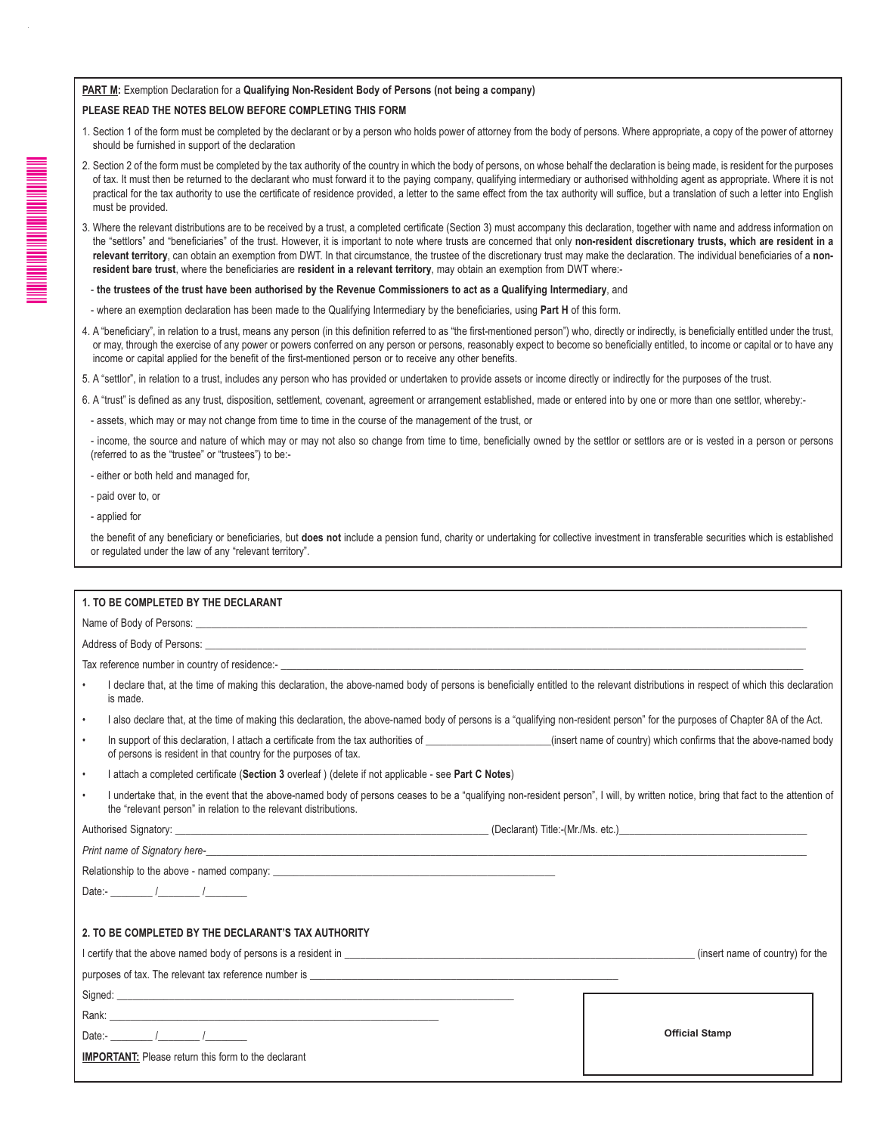## **PART M:** Exemption Declaration for a **Qualifying Non-Resident Body of Persons (not being a company)**

## **PLEASE READ THE NOTES BELOW BEFORE COMPLETING THIS FORM**

- 1. Section 1 of the form must be completed by the declarant or by a person who holds power of attorney from the body of persons. Where appropriate, a copy of the power of attorney should be furnished in support of the declaration
- 2. Section 2 of the form must be completed by the tax authority of the country in which the body of persons, on whose behalf the declaration is being made, is resident for the purposes of tax. It must then be returned to the declarant who must forward it to the paying company, qualifying intermediary or authorised withholding agent as appropriate. Where it is not practical for the tax authority to use the certificate of residence provided, a letter to the same effect from the tax authority will suffice, but a translation of such a letter into English must be provided.
- 3. Where the relevant distributions are to be received by a trust, a completed certificate (Section 3) must accompany this declaration, together with name and address information on the "settlors" and "beneficiaries" of the trust. However, it is important to note where trusts are concerned that only **non-resident discretionary trusts, which are resident in a relevant territory**, can obtain an exemption from DWT. In that circumstance, the trustee of the discretionary trust may make the declaration. The individual beneficiaries of a **nonresident bare trust**, where the beneficiaries are **resident in a relevant territory**, may obtain an exemption from DWT where:-
- **the trustees of the trust have been authorised by the Revenue Commissioners to act as a Qualifying Intermediary**, and
- where an exemption declaration has been made to the Qualifying Intermediary by the beneficiaries, using **Part H** of this form.
- 4. A "beneficiary", in relation to a trust, means any person (in this definition referred to as "the first-mentioned person") who, directly or indirectly, is beneficially entitled under the trust, or may, through the exercise of any power or powers conferred on any person or persons, reasonably expect to become so beneficially entitled, to income or capital or to have any income or capital applied for the benefit of the first-mentioned person or to receive any other benefits.

5. A "settlor", in relation to a trust, includes any person who has provided or undertaken to provide assets or income directly or indirectly for the purposes of the trust.

6. A "trust" is defined as any trust, disposition, settlement, covenant, agreement or arrangement established, made or entered into by one or more than one settlor, whereby:-

- assets, which may or may not change from time to time in the course of the management of the trust, or

- income, the source and nature of which may or may not also so change from time to time, beneficially owned by the settlor or settlors are or is vested in a person or persons (referred to as the "trustee" or "trustees") to be:-

- either or both held and managed for,
- paid over to, or
- applied for

the benefit of any beneficiary or beneficiaries, but **does not** include a pension fund, charity or undertaking for collective investment in transferable securities which is established or regulated under the law of any "relevant territory".

|                                                                                                                                                                                                                               | 1. TO BE COMPLETED BY THE DECLARANT                                                                                                                                                                                                                     |                                  |  |
|-------------------------------------------------------------------------------------------------------------------------------------------------------------------------------------------------------------------------------|---------------------------------------------------------------------------------------------------------------------------------------------------------------------------------------------------------------------------------------------------------|----------------------------------|--|
|                                                                                                                                                                                                                               |                                                                                                                                                                                                                                                         |                                  |  |
|                                                                                                                                                                                                                               |                                                                                                                                                                                                                                                         |                                  |  |
|                                                                                                                                                                                                                               | Tax reference number in country of residence:-<br>Tax reference number in country of residence:-                                                                                                                                                        |                                  |  |
| $\bullet$                                                                                                                                                                                                                     | I declare that, at the time of making this declaration, the above-named body of persons is beneficially entitled to the relevant distributions in respect of which this declaration<br>is made.                                                         |                                  |  |
| $\bullet$                                                                                                                                                                                                                     | I also declare that, at the time of making this declaration, the above-named body of persons is a "qualifying non-resident person" for the purposes of Chapter 8A of the Act.                                                                           |                                  |  |
| $\bullet$                                                                                                                                                                                                                     | of persons is resident in that country for the purposes of tax.                                                                                                                                                                                         |                                  |  |
| $\bullet$                                                                                                                                                                                                                     | I attach a completed certificate (Section 3 overleaf) (delete if not applicable - see Part C Notes)                                                                                                                                                     |                                  |  |
| $\bullet$                                                                                                                                                                                                                     | I undertake that, in the event that the above-named body of persons ceases to be a "qualifying non-resident person", I will, by written notice, bring that fact to the attention of<br>the "relevant person" in relation to the relevant distributions. |                                  |  |
|                                                                                                                                                                                                                               |                                                                                                                                                                                                                                                         |                                  |  |
|                                                                                                                                                                                                                               |                                                                                                                                                                                                                                                         |                                  |  |
|                                                                                                                                                                                                                               |                                                                                                                                                                                                                                                         |                                  |  |
|                                                                                                                                                                                                                               | Date:- $\qquad \qquad / \qquad \qquad /$                                                                                                                                                                                                                |                                  |  |
|                                                                                                                                                                                                                               |                                                                                                                                                                                                                                                         |                                  |  |
|                                                                                                                                                                                                                               | 2. TO BE COMPLETED BY THE DECLARANT'S TAX AUTHORITY                                                                                                                                                                                                     |                                  |  |
| I certify that the above named body of persons is a resident in example of the state of the state of the state of the state of the state of the state of the state of the state of the state of the state of the state of the |                                                                                                                                                                                                                                                         | (insert name of country) for the |  |
|                                                                                                                                                                                                                               |                                                                                                                                                                                                                                                         |                                  |  |
|                                                                                                                                                                                                                               |                                                                                                                                                                                                                                                         |                                  |  |
|                                                                                                                                                                                                                               |                                                                                                                                                                                                                                                         |                                  |  |
|                                                                                                                                                                                                                               | Date:- $\qquad \qquad$                                                                                                                                                                                                                                  | <b>Official Stamp</b>            |  |
|                                                                                                                                                                                                                               | <b>IMPORTANT:</b> Please return this form to the declarant                                                                                                                                                                                              |                                  |  |
|                                                                                                                                                                                                                               |                                                                                                                                                                                                                                                         |                                  |  |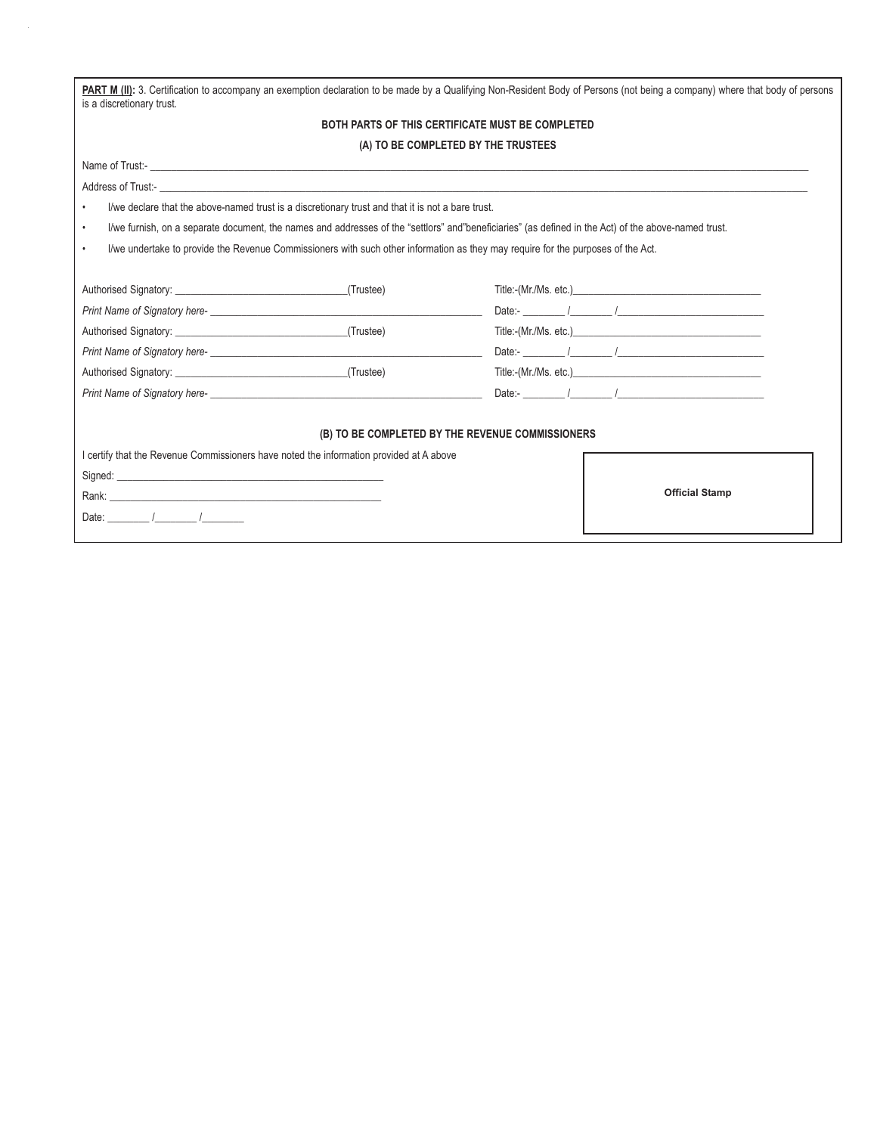| PART M (II): 3. Certification to accompany an exemption declaration to be made by a Qualifying Non-Resident Body of Persons (not being a company) where that body of persons<br>is a discretionary trust.                                   |                                          |  |  |  |  |  |
|---------------------------------------------------------------------------------------------------------------------------------------------------------------------------------------------------------------------------------------------|------------------------------------------|--|--|--|--|--|
| BOTH PARTS OF THIS CERTIFICATE MUST BE COMPLETED                                                                                                                                                                                            |                                          |  |  |  |  |  |
| (A) TO BE COMPLETED BY THE TRUSTEES                                                                                                                                                                                                         |                                          |  |  |  |  |  |
|                                                                                                                                                                                                                                             |                                          |  |  |  |  |  |
| Address of Trust:- <b>Address of Trust:</b>                                                                                                                                                                                                 |                                          |  |  |  |  |  |
| I/we declare that the above-named trust is a discretionary trust and that it is not a bare trust.                                                                                                                                           |                                          |  |  |  |  |  |
| I/we furnish, on a separate document, the names and addresses of the "settlors" and"beneficiaries" (as defined in the Act) of the above-named trust.<br>$\bullet$                                                                           |                                          |  |  |  |  |  |
| I/we undertake to provide the Revenue Commissioners with such other information as they may require for the purposes of the Act.<br>$\bullet$                                                                                               |                                          |  |  |  |  |  |
|                                                                                                                                                                                                                                             |                                          |  |  |  |  |  |
| (Trustee)<br>Authorised Signatory: New York Changes and School Changes and School Changes and School Changes and School Changes and School Changes and School Changes and School Changes and School Changes and School Changes and School C | Title:-(Mr./Ms. etc.)                    |  |  |  |  |  |
| Print Name of Signatory here-                                                                                                                                                                                                               | Date:- $\qquad \qquad$                   |  |  |  |  |  |
| Authorised Signatory: New York Changes and Science Changes and Science Changes and Science Changes and Science<br>(Trustee)                                                                                                                 | Title:-(Mr./Ms. etc.)                    |  |  |  |  |  |
| Print Name of Signatory here-<br><u>Example 2001</u>                                                                                                                                                                                        | Date:- $\frac{1}{2}$                     |  |  |  |  |  |
| (Trustee)<br>Authorised Signatory: National Authorised Signatory:                                                                                                                                                                           | Title:-(Mr./Ms. etc.)                    |  |  |  |  |  |
|                                                                                                                                                                                                                                             | Date:- $\qquad \qquad / \qquad \qquad /$ |  |  |  |  |  |
|                                                                                                                                                                                                                                             |                                          |  |  |  |  |  |
| (B) TO BE COMPLETED BY THE REVENUE COMMISSIONERS                                                                                                                                                                                            |                                          |  |  |  |  |  |
| I certify that the Revenue Commissioners have noted the information provided at A above                                                                                                                                                     |                                          |  |  |  |  |  |
| Signed: the contract of the contract of the contract of the contract of the contract of the contract of the contract of the contract of the contract of the contract of the contract of the contract of the contract of the co              |                                          |  |  |  |  |  |
|                                                                                                                                                                                                                                             | <b>Official Stamp</b>                    |  |  |  |  |  |
| Date: $\frac{1}{\sqrt{2\pi}}$                                                                                                                                                                                                               |                                          |  |  |  |  |  |
|                                                                                                                                                                                                                                             |                                          |  |  |  |  |  |